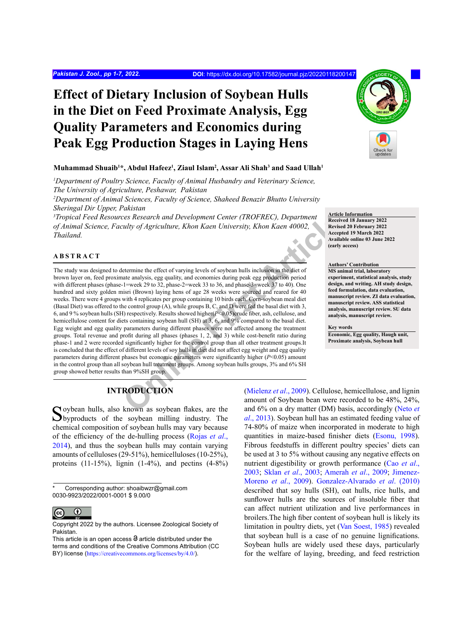# **Effect of Dietary Inclusion of Soybean Hulls in the Diet on Feed Proximate Analysis, Egg Quality Parameters and Economics during Peak Egg Production Stages in Laying Hens**

# **Muhammad Shuaib1 \*, Abdul Hafeez1 , Ziaul Islam2 , Assar Ali Shah3 and Saad Ullah1**

<sup>1</sup>Department of Poultry Science, Faculty of Animal Husbandry and Veterinary Science, *The University of Agriculture, Peshawar, Pakistan*

*2 Department of Animal Sciences, Faculty of Science, Shaheed Benazir Bhutto University Sheringal Dir Upper, Pakistan*

*3 Tropical Feed Resources Research and Development Center (TROFREC), Department of Animal Science, Faculty of Agriculture, Khon Kaen University, Khon Kaen 40002, Thailand.*

# **ABSTRACT**

ces Research and Development Center (TROFREC), Department<br>
utily of Agriculture, Khon Kaen University, Khon Kaen 40002,<br>
Necessarch articles<br>
eccept<br>
decept<br>
secretive Article<br>
technique technique is of soybean hulls inclu The study was designed to determine the effect of varying levels of soybean hulls inclusion in the diet of brown layer on, feed proximate analysis, egg quality, and economies during peak egg production period with different phases (phase-1=week 29 to 32, phase-2=week 33 to 36, and phase-3=week 37 to 40). One hundred and sixty golden misri (Brown) laying hens of age 28 weeks were sourced and reared for 40 weeks. There were 4 groups with 4 replicates per group containing 10 birds each. Corn-soybean meal diet (Basal Diet) was offered to the control group (A), while groups B, C, and D were fed the basal diet with 3, 6, and 9 % soybean hulls (SH) respectively. Results showed higher(*P*<0.05)crude fiber, ash, cellulose, and hemicellulose content for diets containing soybean hull (SH) at 3, 6, and 9% compared to the basal diet. Egg weight and egg quality parameters during different phases were not affected among the treatment groups. Total revenue and profit during all phases (phases 1, 2, and 3) while cost-benefit ratio during phase-1 and 2 were recorded significantly higher for the control group than all other treatment groups.It is concluded that the effect of different levels of soy hulls in diet did not affect egg weight and egg quality parameters during different phases but economic parameters were significantly higher (*P*<0.05) amount in the control group than all soybean hull treatment groups. Among soybean hulls groups, 3% and 6% SH group showed better results than 9%SH group.

# **INTRODUCTION**

Soybean hulls, also known as soybean flakes, are the Soybean milling industry. The chemical composition of soybean hulls may vary because of the efficiency of the de-hulling process ([Rojas](#page-6-0) *et al*., [2014\)](#page-6-0), and thus the soybean hulls may contain varying amounts of celluloses (29-51%), hemicelluloses (10-25%), proteins  $(11-15\%)$ , lignin  $(1-4\%)$ , and pectins  $(4-8\%)$ 

Corresponding author: shoaibwzr@gmail.com 0030-9923/2022/0001-0001 \$ 9.00/0



Copyright 2022 by the authors. Licensee Zoological Society of Pakistan.

(Mielenz *et al*., 2009). Cellulose, hemicellulose, and lignin amount of Soybean bean were recorded to be 48%, 24%, and 6% on a dry matter (DM) basis, accordingly (Neto *et al*., 2013). Soybean hull has an estimated feeding value of 74-80% of maize when incorporated in moderate to high quantities in maize-based finisher diets ([Esonu, 1998\)](#page-5-1). Fibrous feedstuffs in different poultry species' diets can be used at 3 to 5% without causing any negative effects on nutrient digestibility or growth performance (Cao *[et al](#page-5-2)*., [2003;](#page-5-2) Sklan *et al*[., 2003](#page-6-1); [Amerah](#page-5-3) *et al*., 2009; [Jimenez-](#page-5-4)[Moreno](#page-5-4) *et al*., 2009). [Gonzalez-Alvarado](#page-5-5) *et al*. (2010) described that soy hulls (SH), oat hulls, rice hulls, and sunflower hulls are the sources of insoluble fiber that can affect nutrient utilization and live performances in broilers.The high fiber content of soybean hull is likely its limitation in poultry diets, yet ([Van Soest, 1985](#page-6-2)) revealed that soybean hull is a case of no genuine lignifications. Soybean hulls are widely used these days, particularly for the welfare of laying, breeding, and feed restriction



**Article Information Received 18 January 2022 Revised 20 February 2022 Accepted 19 March 2022 Available online 03 June 2022 (early access)**

**Authors' Contribution MS animal trial, laboratory experiment, statistical analysis, study design, and writing. AH study design, feed formulation, data evaluation, manuscript review. ZI data evaluation, manuscript review. ASS statistical analysis, manuscript review. SU data analysis, manuscript review.**

**Key words Economic, Egg quality, Haugh unit, Proximate analysis, Soybean hull**

This article is an open access  $\Theta$  article distributed under the terms and conditions of the Creative Commons Attribution (CC BY) license (<https://creativecommons.org/licenses/by/4.0/>).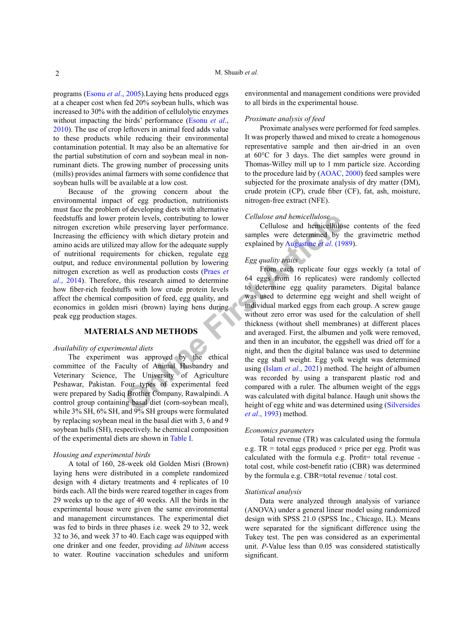programs [\(Esonu](#page-5-6) *et al*., 2005).Laying hens produced eggs at a cheaper cost when fed 20% soybean hulls, which was increased to 30% with the addition of cellulolytic enzymes without impacting the birds' performance [\(Esonu](#page-5-7) *et al*., [2010\)](#page-5-7). The use of crop leftovers in animal feed adds value to these products while reducing their environmental contamination potential. It may also be an alternative for the partial substitution of corn and soybean meal in nonruminant diets. The growing number of processing units (mills) provides animal farmers with some confidence that soybean hulls will be available at a low cost.

Because of the growing concern about the environmental impact of egg production, nutritionists must face the problem of developing diets with alternative feedstuffs and lower protein levels, contributing to lower nitrogen excretion while preserving layer performance. Increasing the efficiency with which dietary protein and amino acids are utilized may allow for the adequate supply of nutritional requirements for chicken, regulate egg output, and reduce environmental pollution by lowering nitrogen excretion as well as production costs (Praes *et al*[., 2014](#page-6-3)). Therefore, this research aimed to determine how fiber-rich feedstuffs with low crude protein levels affect the chemical composition of feed, egg quality, and economics in golden misri (brown) laying hens during peak egg production stages.

# **MATERIALS AND METHODS**

### *Availability of experimental diets*

The experiment was approved by the ethical committee of the Faculty of Animal Husbandry and Veterinary Science, The University of Agriculture Peshawar, Pakistan. Four types of experimental feed were prepared by Sadiq Brother Company, Rawalpindi. A control group containing basal diet (corn-soybean meal), while 3% SH, 6% SH, and 9% SH groups were formulated by replacing soybean meal in the basal diet with 3, 6 and 9 soybean hulls (SH), respectively. he chemical composition of the experimental diets are shown in [Table I](#page-2-0).

### *Housing and experimental birds*

A total of 160, 28-week old Golden Misri (Brown) laying hens were distributed in a complete randomized design with 4 dietary treatments and 4 replicates of 10 birds each. All the birds were reared together in cages from 29 weeks up to the age of 40 weeks. All the birds in the experimental house were given the same environmental and management circumstances. The experimental diet was fed to birds in three phases i.e. week 29 to 32, week 32 to 36, and week 37 to 40. Each cage was equipped with one drinker and one feeder, providing *ad libitum* access to water. Routine vaccination schedules and uniform environmental and management conditions were provided to all birds in the experimental house.

### *Proximate analysis of feed*

Proximate analyses were performed for feed samples. It was properly thawed and mixed to create a homogenous representative sample and then air-dried in an oven at 60°C for 3 days. The diet samples were ground in Thomas-Willey mill up to 1 mm particle size. According to the procedure laid by ([AOAC, 2000](#page-6-4)) feed samples were subjected for the proximate analysis of dry matter (DM), crude protein (CP), crude fiber (CF), fat, ash, moisture, nitrogen-free extract (NFE).

#### *Cellulose and hemicellulose*

Cellulose and hemicellulose contents of the feed samples were determined by the gravimetric method explained by Augustine *et al*. (1989).

# *Egg quality traits*

The Higherian Correction I and the state and the transformation of the which distant protein and the statement and the magnet are the determined by the spectra are the dequality explained by Augustine *et al.* (19 amounts From each replicate four eggs weekly (a total of 64 eggs from 16 replicates) were randomly collected to determine egg quality parameters. Digital balance was used to determine egg weight and shell weight of individual marked eggs from each group. A screw gauge without zero error was used for the calculation of shell thickness (without shell membranes) at different places and averaged. First, the albumen and yolk were removed, and then in an incubator, the eggshell was dried off for a night, and then the digital balance was used to determine the egg shall weight. Egg yolk weight was determined using (Islam *et al*., 2021) method. The height of albumen was recorded by using a transparent plastic rod and compared with a ruler. The albumen weight of the eggs was calculated with digital balance. Haugh unit shows the height of egg white and was determined using [\(Silversides](#page-6-5) *et al*[., 1993\)](#page-6-5) method.

# *Economics parameters*

Total revenue (TR) was calculated using the formula e.g. TR = total eggs produced  $\times$  price per egg. Profit was calculated with the formula e.g. Profit= total revenue total cost, while cost-benefit ratio (CBR) was determined by the formula e.g. CBR=total revenue / total cost.

#### *Statistical analysis*

Data were analyzed through analysis of variance (ANOVA) under a general linear model using randomized design with SPSS 21.0 (SPSS Inc., Chicago, IL). Means were separated for the significant difference using the Tukey test. The pen was considered as an experimental unit. *P*-Value less than 0.05 was considered statistically significant.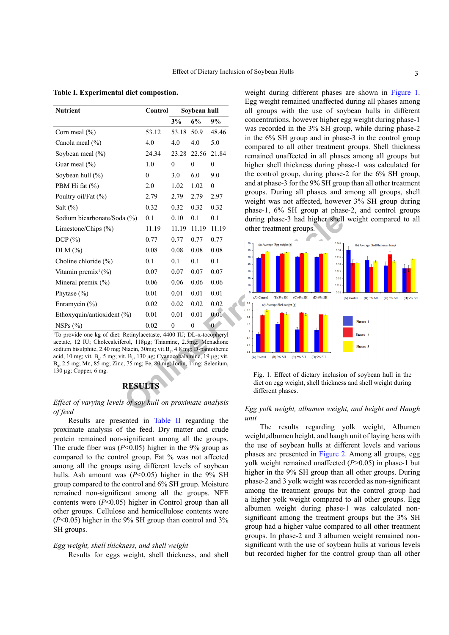| <b>Nutrient</b>                 | Control          | Soybean hull |                  |              |
|---------------------------------|------------------|--------------|------------------|--------------|
|                                 |                  | 3%           | 6%               | 9%           |
| Corn meal $(\% )$               | 53.12            | 53.18        | 50.9             | 48.46        |
| Canola meal (%)                 | 4.0              | 4.0          | 4.0              | 5.0          |
| Soybean meal $(\% )$            | 24.34            | 23.28        | 22.56            | 21.84        |
| Guar meal (%)                   | 1.0              | $\mathbf{0}$ | $\theta$         | $\mathbf{0}$ |
| Soybean hull (%)                | $\boldsymbol{0}$ | 3.0          | 6.0              | 9.0          |
| PBM Hi fat (%)                  | 2.0              | 1.02         | 1.02             | $\theta$     |
| Poultry oil/Fat (%)             | 2.79             | 2.79         | 2.79             | 2.97         |
| Salt $(\%)$                     | 0.32             | 0.32         | 0.32             | 0.32         |
| Sodium bicarbonate/Soda (%)     | 0.1              | 0.10         | 0.1              | 0.1          |
| Limestone/Chips (%)             | 11.19            | 11.19        | 11.19            | 11.19        |
| DCP(%)                          | 0.77             | 0.77         | 0.77             | 0.77         |
| $DLM$ $(\%)$                    | 0.08             | 0.08         | 0.08             | 0.08         |
| Choline chloride (%)            | 0.1              | 0.1          | 0.1              | 0.1          |
| Vitamin premix <sup>1</sup> (%) | 0.07             | 0.07         | 0.07             | 0.07         |
| Mineral premix (%)              | 0.06             | 0.06         | 0.06             | 0.06         |
| Phytase $(\% )$                 | 0.01             | 0.01         | 0.01             | 0.01         |
| Enramycin (%)                   | 0.02             | 0.02         | 0.02             | 0.02         |
| Ethoxyquin/antioxident (%)      | 0.01             | 0.01         | 0.01             | 0.01         |
| NSPs(%)                         | 0.02             | 0            | $\boldsymbol{0}$ | $\bf{0}$     |

<span id="page-2-0"></span>**Table I. Experimental diet compostion.**

1 To provide one kg of diet: Retinylacetaste, 4400 IU; DL-α-tocopheryl acetate, 12 IU; Cholecalciferol, 118µg; Thiamine, 2.5mg; Menadione sodium bisulphite, 2.40 mg; Niacin, 30mg; vit.B<sub>2</sub>, 4.8 mg; D-pantothenic acid, 10 mg; vit. B<sub>6</sub>, 5 mg; vit. B<sub>7</sub>, 130 µg; Cyanocobalamine, 19 µg; vit. B9 , 2.5 mg; Mn, 85 mg; Zinc, 75 mg; Fe, 80 mg; Iodin, 1 mg; Selenium, 130 µg; Copper, 6 mg.

# **RESULTS**

# *Effect of varying levels of soy hull on proximate analysis of feed*

Results are presented in [Table II](#page-3-0) regarding the proximate analysis of the feed. Dry matter and crude protein remained non-significant among all the groups. The crude fiber was  $(P<0.05)$  higher in the 9% group as compared to the control group. Fat % was not affected among all the groups using different levels of soybean hulls. Ash amount was ( $P<0.05$ ) higher in the 9% SH group compared to the control and 6% SH group. Moisture remained non-significant among all the groups. NFE contents were (*P*<0.05) higher in Control group than all other groups. Cellulose and hemicellulose contents were (*P*<0.05) higher in the 9% SH group than control and 3% SH groups.

### *Egg weight, shell thickness, and shell weight*

Results for eggs weight, shell thickness, and shell

weight during different phases are shown in [Figure 1.](#page-2-1) Egg weight remained unaffected during all phases among all groups with the use of soybean hulls in different concentrations, however higher egg weight during phase-1 was recorded in the 3% SH group, while during phase-2 in the 6% SH group and in phase-3 in the control group compared to all other treatment groups. Shell thickness remained unaffected in all phases among all groups but higher shell thickness during phase-1 was calculated for the control group, during phase-2 for the 6% SH group, and at phase-3 for the 9% SH group than all other treatment groups. During all phases and among all groups, shell weight was not affected, however 3% SH group during phase-1, 6% SH group at phase-2, and control groups during phase-3 had higher shell weight compared to all other treatment groups.



<span id="page-2-1"></span>Fig. 1. Effect of dietary inclusion of soybean hull in the diet on egg weight, shell thickness and shell weight during different phases.

# *Egg yolk weight, albumen weight, and height and Haugh unit*

The results regarding yolk weight, Albumen weight,albumen height, and haugh unit of laying hens with the use of soybean hulls at different levels and various phases are presented in [Figure 2.](#page-3-1) Among all groups, egg yolk weight remained unaffected (*P*>0.05) in phase-1 but higher in the 9% SH group than all other groups. During phase-2 and 3 yolk weight was recorded as non-significant among the treatment groups but the control group had a higher yolk weight compared to all other groups. Egg albumen weight during phase-1 was calculated nonsignificant among the treatment groups but the 3% SH group had a higher value compared to all other treatment groups. In phase-2 and 3 albumen weight remained nonsignificant with the use of soybean hulls at various levels but recorded higher for the control group than all other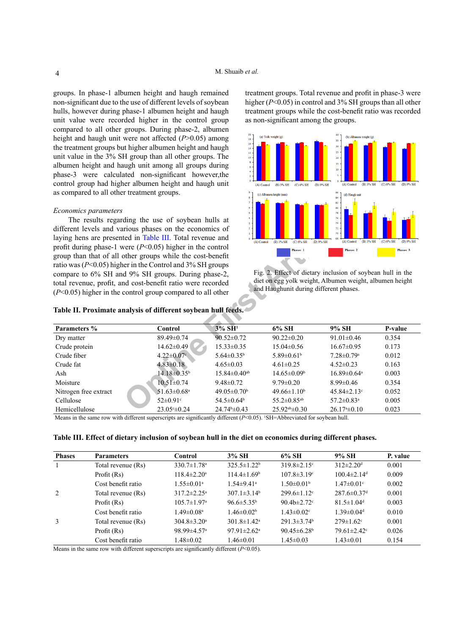groups. In phase-1 albumen height and haugh remained non-significant due to the use of different levels of soybean hulls, however during phase-1 albumen height and haugh unit value were recorded higher in the control group compared to all other groups. During phase-2, albumen height and haugh unit were not affected (*P*>0.05) among the treatment groups but higher albumen height and haugh unit value in the 3% SH group than all other groups. The albumen height and haugh unit among all groups during phase-3 were calculated non-significant however,the control group had higher albumen height and haugh unit as compared to all other treatment groups.

### *Economics parameters*

treatment groups. Total revenue and profit in phase-3 were higher (*P*<0.05) in control and 3% SH groups than all other treatment groups while the cost-benefit ratio was recorded as non-significant among the groups.



<span id="page-3-1"></span>Fig. 2. Effect of dietary inclusion of soybean hull in the diet on egg yolk weight, Albumen weight, albumen height and Haughunit during different phases.

<span id="page-3-0"></span>

| different levels and various phases on the economics of<br>laying hens are presented in Table III. Total revenue and                                                                                                                                                                                                                                                                                                                                                                                                                                                                                                                                                                                                                                                | The results regarding the use of soybean hulls at | s l<br>$\overline{2}$<br>$1 -$ |                               | 76<br>74<br>72<br>70.         |         |  |  |
|---------------------------------------------------------------------------------------------------------------------------------------------------------------------------------------------------------------------------------------------------------------------------------------------------------------------------------------------------------------------------------------------------------------------------------------------------------------------------------------------------------------------------------------------------------------------------------------------------------------------------------------------------------------------------------------------------------------------------------------------------------------------|---------------------------------------------------|--------------------------------|-------------------------------|-------------------------------|---------|--|--|
| (B) 3% SH<br>(C) 6% SH<br>(D) 9% SH<br>(B) 3% SH<br>(C) 6% SH<br>(A) Control<br>(D) 9% SH<br>(A) Control<br>profit during phase-1 were $(P<0.05)$ higher in the control<br>Phases 3<br>Phases 1<br>Phases 2<br>group than that of all other groups while the cost-benefit<br>ratio was ( $P<0.05$ ) higher in the Control and 3% SH groups<br>Fig. 2. Effect of dietary inclusion of soybean hull in the<br>compare to 6% SH and 9% SH groups. During phase-2,<br>diet on egg yolk weight, Albumen weight, albumen height<br>total revenue, profit, and cost-benefit ratio were recorded<br>and Haughunit during different phases.<br>$(P<0.05)$ higher in the control group compared to all other<br>Table II. Proximate analysis of different soybean hull feeds. |                                                   |                                |                               |                               |         |  |  |
| Parameters %                                                                                                                                                                                                                                                                                                                                                                                                                                                                                                                                                                                                                                                                                                                                                        | Control                                           | 3% SH <sup>1</sup>             | 6% SH                         | 9% SH                         | P-value |  |  |
| Dry matter                                                                                                                                                                                                                                                                                                                                                                                                                                                                                                                                                                                                                                                                                                                                                          | 89.49±0.74                                        | $90.52 \pm 0.72$               | $90.22 \pm 0.20$              | $91.01 \pm 0.46$              | 0.354   |  |  |
| Crude protein                                                                                                                                                                                                                                                                                                                                                                                                                                                                                                                                                                                                                                                                                                                                                       | $14.62 \pm 0.49$                                  | $15.33 \pm 0.35$               | $15.04 \pm 0.56$              | $16.67 \pm 0.95$              | 0.173   |  |  |
| Crude fiber                                                                                                                                                                                                                                                                                                                                                                                                                                                                                                                                                                                                                                                                                                                                                         | $4.22 \pm 0.07$ °                                 | $5.64 \pm 0.35^b$              | $5.89 \pm 0.61$ <sup>b</sup>  | $7.28 \pm 0.79$ <sup>a</sup>  | 0.012   |  |  |
| Crude fat                                                                                                                                                                                                                                                                                                                                                                                                                                                                                                                                                                                                                                                                                                                                                           | $4.83 \pm 0.18$                                   | $4.65 \pm 0.03$                | $4.61 \pm 0.25$               | $4.52 \pm 0.23$               | 0.163   |  |  |
| Ash                                                                                                                                                                                                                                                                                                                                                                                                                                                                                                                                                                                                                                                                                                                                                                 | $14.18 \pm 0.35^{\rm b}$                          | $15.84 \pm 0.40$ <sup>ab</sup> | $14.65 \pm 0.09^{\circ}$      | $16.89 \pm 0.64$ <sup>a</sup> | 0.003   |  |  |
| Moisture                                                                                                                                                                                                                                                                                                                                                                                                                                                                                                                                                                                                                                                                                                                                                            | $10.51 \pm 0.74$                                  | $9.48 \pm 0.72$                | $9.79 \pm 0.20$               | $8.99 \pm 0.46$               | 0.354   |  |  |
| Nitrogen free extract                                                                                                                                                                                                                                                                                                                                                                                                                                                                                                                                                                                                                                                                                                                                               | 51.63±0.68 <sup>a</sup>                           | $49.05 \pm 0.70$ <sup>b</sup>  | $49.66 \pm 1.10^b$            | $45.84 \pm 2.13$ °            | 0.052   |  |  |
| Cellulose                                                                                                                                                                                                                                                                                                                                                                                                                                                                                                                                                                                                                                                                                                                                                           | $52 \pm 0.91$ <sup>c</sup>                        | $54.5 \pm 0.64^b$              | $55.2 \pm 0.85$ <sup>ab</sup> | $57.2 \pm 0.83$ <sup>a</sup>  | 0.005   |  |  |
| Hemicellulose                                                                                                                                                                                                                                                                                                                                                                                                                                                                                                                                                                                                                                                                                                                                                       |                                                   |                                |                               |                               |         |  |  |

Means in the same row with different superscripts are significantly different (*P*<0.05). 'SH=Abbreviated for soybean hull.

<span id="page-3-2"></span>**Table III. Effect of dietary inclusion of soybean hull in the diet on economics during different phases.**

| <b>Phases</b> | <b>Parameters</b>  | Control                       | 3% SH                         | 6% SH                         | 9% SH                         | P. value |
|---------------|--------------------|-------------------------------|-------------------------------|-------------------------------|-------------------------------|----------|
|               | Total revenue (Rs) | $330.7 \pm 1.78$ <sup>a</sup> | $325.5 \pm 1.22^b$            | $319.8 \pm 2.15$ <sup>c</sup> | $312 \pm 2.20$ <sup>d</sup>   | 0.001    |
|               | Profit (Rs)        | $118.4 \pm 2.20$ <sup>a</sup> | $114.4 \pm 1.69^b$            | $107.8 \pm 3.19$ <sup>c</sup> | $100.4 \pm 2.14$ <sup>d</sup> | 0.009    |
|               | Cost benefit ratio | $1.55 \pm 0.01$ <sup>a</sup>  | $1.54 \pm 9.41$ <sup>a</sup>  | $1.50 \pm 0.01^{\rm b}$       | $1.47 \pm 0.01$ °             | 0.002    |
| 2             | Total revenue (Rs) | $317.2 \pm 2.25^{\text{a}}$   | $307.1 \pm 3.14^b$            | $299.6 \pm 1.12$ °            | $287.6 \pm 0.37$ <sup>d</sup> | 0.001    |
|               | Profit (Rs)        | $105.7 \pm 1.97$ <sup>a</sup> | $96.6 \pm 5.35^b$             | 90.4b $\pm 2.72$ °            | $81.5 \pm 1.04$ <sup>d</sup>  | 0.003    |
|               | Cost benefit ratio | $1.49 \pm 0.08$ <sup>a</sup>  | $1.46 \pm 0.02^b$             | $1.43 \pm 0.02$ <sup>c</sup>  | $1.39 \pm 0.04$ <sup>d</sup>  | 0.010    |
| 3             | Total revenue (Rs) | $304.8 \pm 3.20^{\circ}$      | $301.8 \pm 1.42^{\circ}$      | $291.3 \pm 3.74$ <sup>b</sup> | $279 \pm 1.62$ <sup>c</sup>   | 0.001    |
|               | Profit $(Rs)$      | 98.99 $\pm$ 4.57 <sup>a</sup> | $97.91 \pm 2.62$ <sup>a</sup> | $90.45 \pm 6.28$              | $79.61 \pm 2.42$ °            | 0.026    |
|               | Cost benefit ratio | $1.48 \pm 0.02$               | $1.46 \pm 0.01$               | $1.45 \pm 0.03$               | $1.43 \pm 0.01$               | 0.154    |

Means in the same row with different superscripts are significantly different  $(P<0.05)$ .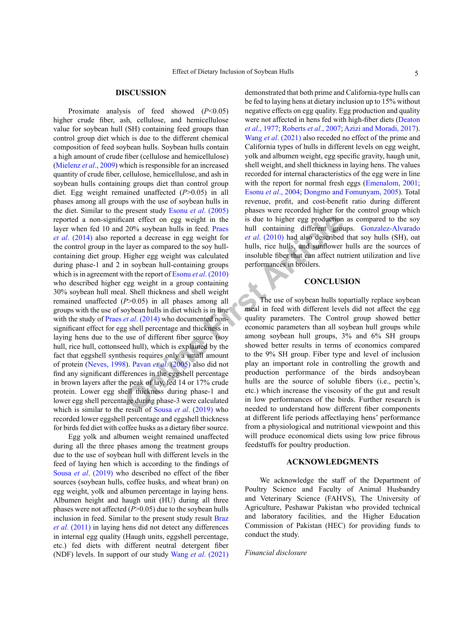### **DISCUSSION**

cant effect on egg weight in the<br>
20% soybean hulls in feed. Praes<br>
lull containing different grouted<br>
a decrease in egg weight for<br>
lulls, rice hull containing different grouted<br>
Higher egg weight tor<br>
Higher egg weight Proximate analysis of feed showed (*P*<0.05) higher crude fiber, ash, cellulose, and hemicellulose value for soybean hull (SH) containing feed groups than control group diet which is due to the different chemical composition of feed soybean hulls. Soybean hulls contain a high amount of crude fiber (cellulose and hemicellulose) [\(Mielenz](#page-5-0) *et al*., 2009) which is responsible for an increased quantity of crude fiber, cellulose, hemicellulose, and ash in soybean hulls containing groups diet than control group diet. Egg weight remained unaffected (*P*>0.05) in all phases among all groups with the use of soybean hulls in the diet. Similar to the present study Esonu *et al*[. \(2005\)](#page-5-6) reported a non-significant effect on egg weight in the layer when fed 10 and 20% soybean hulls in feed. Praes *et al*[. \(2014\)](#page-6-3) also reported a decrease in egg weight for the control group in the layer as compared to the soy hullcontaining diet group. Higher egg weight was calculated during phase-1 and 2 in soybean hull-containing groups which is in agreement with the report of Esonu *et al*. (2010) who described higher egg weight in a group containing 30% soybean hull meal. Shell thickness and shell weight remained unaffected (*P*>0.05) in all phases among all groups with the use of soybean hulls in diet which is in line with the study of Praes *et al.* (2014) who documented nonsignificant effect for egg shell percentage and thickness in laying hens due to the use of different fiber source (soy hull, rice hull, cottonseed hull), which is explained by the fact that eggshell synthesis requires only a small amount of protein [\(Neves, 1998\)](#page-6-6). Pavan *et al*. (2005) also did not find any significant differences in the eggshell percentage in brown layers after the peak of lay, fed 14 or 17% crude protein. Lower egg shell thickness during phase-1 and lower egg shell percentage during phase-3 were calculated which is similar to the result of Sousa *et al.* (2019) who recorded lower eggshell percentage and eggshell thickness for birds fed diet with coffee husks as a dietary fiber source.

Egg yolk and albumen weight remained unaffected during all the three phases among the treatment groups due to the use of soybean hull with different levels in the feed of laying hen which is according to the findings of Sousa *et al*[. \(2019\)](#page-6-7) who described no effect of the fiber sources (soybean hulls, coffee husks, and wheat bran) on egg weight, yolk and albumen percentage in laying hens. Albumen height and haugh unit (HU) during all three phases were not affected (*P*>0.05) due to the soybean hulls inclusion in feed. Similar to the present study result [Braz](#page-5-10) *et al*[. \(2011\)](#page-5-10) in laying hens did not detect any differences in internal egg quality (Haugh units, eggshell percentage, etc.) fed diets with different neutral detergent fiber (NDF) levels. In support of our study Wang *et al*[. \(2021\)](#page-6-8)

demonstrated that both prime and California-type hulls can be fed to laying hens at dietary inclusion up to 15% without negative effects on egg quality. Egg production and quality were not affected in hens fed with high-fiber diets ([Deaton](#page-5-11) *et al*[., 1977](#page-5-11); [Roberts](#page-6-9) *et al*., 2007; [Azizi and Moradi, 2017](#page-5-12)). Wang *et al*[. \(2021\)](#page-6-8) also receded no effect of the prime and California types of hulls in different levels on egg weight, yolk and albumen weight, egg specific gravity, haugh unit, shell weight, and shell thickness in laying hens. The values recorded for internal characteristics of the egg were in line with the report for normal fresh eggs [\(Emenalom, 2001](#page-5-13); Esonu *et al*[., 2004;](#page-5-14) [Dongmo and Fomunyam, 2005](#page-5-15)). Total revenue, profit, and cost-benefit ratio during different phases were recorded higher for the control group which is due to higher egg production as compared to the soy hull containing different groups. [Gonzalez-Alvarado](#page-5-5) *et al*. (2010) had also described that soy hulls (SH), oat hulls, rice hulls, and sunflower hulls are the sources of insoluble fiber that can affect nutrient utilization and live performances in broilers.

### **CONCLUSION**

The use of soybean hulls topartially replace soybean meal in feed with different levels did not affect the egg quality parameters. The Control group showed better economic parameters than all soybean hull groups while among soybean hull groups, 3% and 6% SH groups showed better results in terms of economics compared to the 9% SH group. Fiber type and level of inclusion play an important role in controlling the growth and production performance of the birds andsoybean hulls are the source of soluble fibers (i.e., pectin's, etc.) which increase the viscosity of the gut and result in low performances of the birds. Further research is needed to understand how different fiber components at different life periods affectlaying hens' performance from a physiological and nutritional viewpoint and this will produce economical diets using low price fibrous feedstuffs for poultry production.

### **ACKNOWLEDGMENTS**

We acknowledge the staff of the Department of Poultry Science and Faculty of Animal Husbandry and Veterinary Science (FAHVS), The University of Agriculture, Peshawar Pakistan who provided technical and laboratory facilities, and the Higher Education Commission of Pakistan (HEC) for providing funds to conduct the study.

### *Financial disclosure*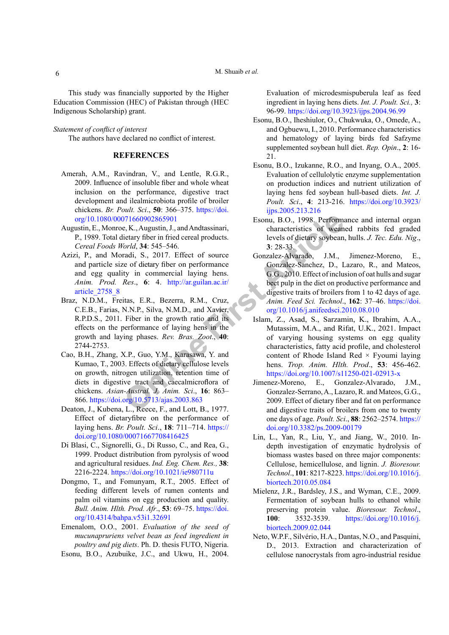This study was financially supported by the Higher Education Commission (HEC) of Pakistan through (HEC Indigenous Scholarship) grant.

### *Statement of conflict of interest*

The authors have declared no conflict of interest.

# **REFERENCES**

- <span id="page-5-3"></span>Amerah, A.M., Ravindran, V., and Lentle, R.G.R., 2009. Influence of insoluble fiber and whole wheat inclusion on the performance, digestive tract development and ilealmicrobiota profile of broiler chickens. *Br. Poult. Sci*., **50**: 366–375. [https://doi.](https://doi.org/10.1080/00071660902865901) [org/10.1080/00071660902865901](https://doi.org/10.1080/00071660902865901)
- <span id="page-5-8"></span>Augustin, E., Monroe, K., Augustin, J., and Andtassinari, P., 1989. Total dietary fiber in fried cereal products. *Cereal Foods World*, **34**: 545–546.
- <span id="page-5-12"></span>Azizi, P., and Moradi, S., 2017. Effect of source and particle size of dietary fiber on performance and egg quality in commercial laying hens. *Anim. Prod. Res*., **6**: 4. http://ar.guilan.ac.ir/ [article\\_2758\\_8](http://ar.guilan.ac.ir/article_2758_8)
- <span id="page-5-10"></span>Braz, N.D.M., Freitas, E.R., Bezerra, R.M., Cruz, C.E.B., Farias, N.N.P., Silva, N.M.D., and Xavier, R.P.D.S., 2011. Fiber in the growth ratio and its effects on the performance of laying hens in the growth and laying phases. *Rev. Bras. Zoot*., **40**: 2744-2753.
- <span id="page-5-2"></span>Cao, B.H., Zhang, X.P., Guo, Y.M., Karasawa, Y. and Kumao, T., 2003. Effects of dietary cellulose levels on growth, nitrogen utilization, retention time of diets in digestive tract and caecalmicroflora of chickens. *Asian-Austral. J. Anim. Sci*., **16**: 863– 866.<https://doi.org/10.5713/ajas.2003.863>
- <span id="page-5-11"></span>Deaton, J., Kubena, L., Reece, F., and Lott, B., 1977. Effect of dietaryfibre on the performance of laying hens. *Br. Poult. Sci*., **18**: 711–714. [https://](https://doi.org/10.1080/00071667708416425) [doi.org/10.1080/00071667708416425](https://doi.org/10.1080/00071667708416425)
- Di Blasi, C., Signorelli, G., Di Russo, C., and Rea, G., 1999. Product distribution from pyrolysis of wood and agricultural residues. *Ind. Eng. Chem. Res.,* **38**: 2216-2224.<https://doi.org/10.1021/ie980711u>
- <span id="page-5-15"></span><span id="page-5-0"></span>Dongmo, T., and Fomunyam, R.T., 2005. Effect of feeding different levels of rumen contents and palm oil vitamins on egg production and quality. *Bull. Anim. Hlth. Prod. Afr*., **53**: 69–75. [https://doi.](https://doi.org/10.4314/bahpa.v53i1.32691) [org/10.4314/bahpa.v53i1.32691](https://doi.org/10.4314/bahpa.v53i1.32691)
- <span id="page-5-13"></span>Emenalom, O.O., 2001. *Evaluation of the seed of mucunapruriens velvet bean as feed ingredient in poultry and pig diets*. Ph. D. thesis FUTO, Nigeria.
- <span id="page-5-14"></span>Esonu, B.O., Azubuike, J.C., and Ukwu, H., 2004.

Evaluation of microdesmispuberula leaf as feed ingredient in laying hens diets. *Int. J. Poult. Sci.,* **3**: 96-99. <https://doi.org/10.3923/ijps.2004.96.99>

- <span id="page-5-7"></span>Esonu, B.O., Iheshiulor, O., Chukwuka, O., Omede, A., and Ogbuewu, I., 2010. Performance characteristics and hematology of laying birds fed Safzyme supplemented soybean hull diet. *Rep. Opin*., **2**: 16- 21.
- <span id="page-5-6"></span>Esonu, B.O., Izukanne, R.O., and Inyang, O.A., 2005. Evaluation of cellulolytic enzyme supplementation on production indices and nutrient utilization of laying hens fed soybean hull-based diets. *Int. J. Poult. Sci*., **4**: 213-216. [https://doi.org/10.3923/](https://doi.org/10.3923/ijps.2005.213.216) [ijps.2005.213.216](https://doi.org/10.3923/ijps.2005.213.216)
- <span id="page-5-9"></span><span id="page-5-5"></span><span id="page-5-4"></span><span id="page-5-1"></span>Esonu, B.O., 1998. Performance and internal organ characteristics of weaned rabbits fed graded levels of dietary soybean, hulls. *J. Tec. Edu. Nig*., **3**: 28-33.
- 0.71660902865901<br>
Esonu, B.O., 1998. Performance, K., Augustin, J., and Andtassinari,<br>
characteristics of wean<br>
characteristics of wean<br>
characteristics of wean<br>
radi, S., 2017. Effect of source<br>
are of dietary fiber on pe Gonzalez-Alvarado, J.M., Jimenez-Moreno, E., Gonzalez-Sanchez, D., Lazaro, R., and Mateos, G.G., 2010. Effect of inclusion of oat hulls and sugar beet pulp in the diet on productive performance and digestive traits of broilers from 1 to 42 days of age. *Anim. Feed Sci. Technol*., **162**: 37–46. [https://doi.](https://doi.org/10.1016/j.anifeedsci.2010.08.010) [org/10.1016/j.anifeedsci.2010.08.010](https://doi.org/10.1016/j.anifeedsci.2010.08.010)
	- Islam, Z., Asad, S., Sarzamin, K., Ibrahim, A.A., Mutassim, M.A., and Rifat, U.K., 2021. Impact of varying housing systems on egg quality characteristics, fatty acid profile, and cholesterol content of Rhode Island Red  $\times$  Fyoumi laying hens. *Trop. Anim. Hlth. Prod*., **53**: 456-462. <https://doi.org/10.1007/s11250-021-02913-x>
	- Jimenez-Moreno, E., Gonzalez-Alvarado, J.M., Gonzalez-Serrano, A., Lazaro, R. and Mateos, G.G., 2009. Effect of dietary fiber and fat on performance and digestive traits of broilers from one to twenty one days of age. *Poult. Sci*., **88**: 2562–2574. [https://](https://doi.org/10.3382/ps.2009-00179) [doi.org/10.3382/ps.2009-00179](https://doi.org/10.3382/ps.2009-00179)
	- Lin, L., Yan, R., Liu, Y., and Jiang, W., 2010. Indepth investigation of enzymatic hydrolysis of biomass wastes based on three major components: Cellulose, hemicellulose, and lignin. *J. Bioresour. Technol*., **101**: 8217-8223. [https://doi.org/10.1016/j.](https://doi.org/10.1016/j.biortech.2010.05.084) [biortech.2010.05.084](https://doi.org/10.1016/j.biortech.2010.05.084)
	- Mielenz, J.R., Bardsley, J.S., and Wyman, C.E., 2009. Fermentation of soybean hulls to ethanol while preserving protein value. *Bioresour. Technol*., **100**: 3532-3539. [https://doi.org/10.1016/j.](https://doi.org/10.1016/j.biortech.2009.02.044) [biortech.2009.02.044](https://doi.org/10.1016/j.biortech.2009.02.044)
	- Neto, W.P.F., Silvério, H.A., Dantas, N.O., and Pasquini, D., 2013. Extraction and characterization of cellulose nanocrystals from agro-industrial residue